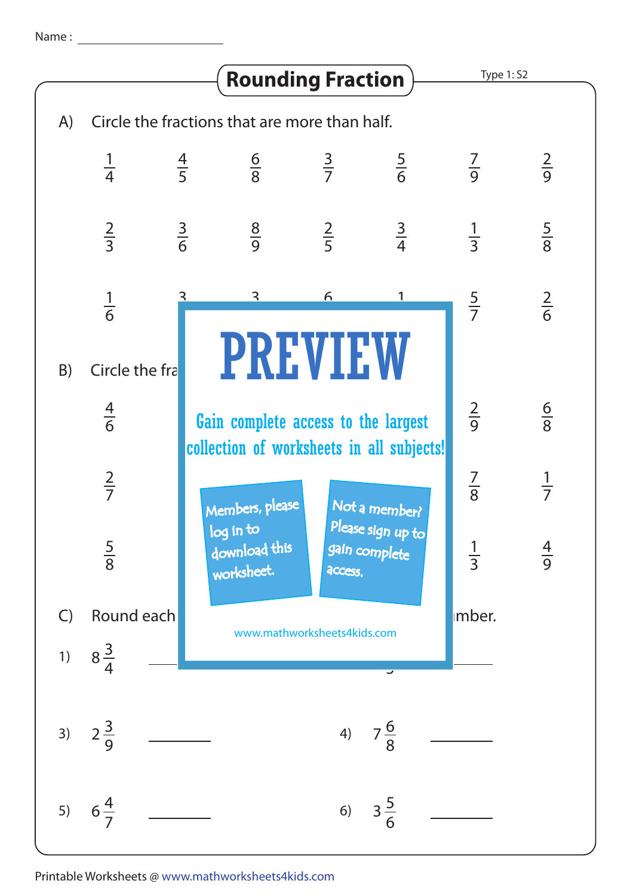Name :